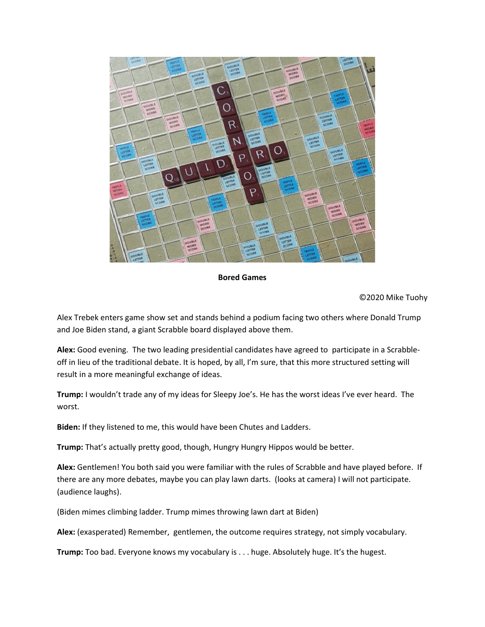

## Bored Games

©2020 Mike Tuohy

Alex Trebek enters game show set and stands behind a podium facing two others where Donald Trump and Joe Biden stand, a giant Scrabble board displayed above them.

Alex: Good evening. The two leading presidential candidates have agreed to participate in a Scrabbleoff in lieu of the traditional debate. It is hoped, by all, I'm sure, that this more structured setting will result in a more meaningful exchange of ideas.

Trump: I wouldn't trade any of my ideas for Sleepy Joe's. He has the worst ideas I've ever heard. The worst.

Biden: If they listened to me, this would have been Chutes and Ladders.

Trump: That's actually pretty good, though, Hungry Hungry Hippos would be better.

Alex: Gentlemen! You both said you were familiar with the rules of Scrabble and have played before. If there are any more debates, maybe you can play lawn darts. (looks at camera) I will not participate. (audience laughs).

(Biden mimes climbing ladder. Trump mimes throwing lawn dart at Biden)

Alex: (exasperated) Remember, gentlemen, the outcome requires strategy, not simply vocabulary.

Trump: Too bad. Everyone knows my vocabulary is . . . huge. Absolutely huge. It's the hugest.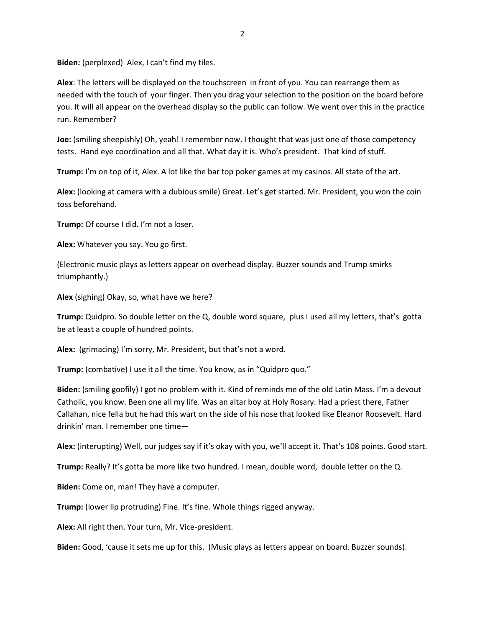Biden: (perplexed) Alex, I can't find my tiles.

Alex: The letters will be displayed on the touchscreen in front of you. You can rearrange them as needed with the touch of your finger. Then you drag your selection to the position on the board before you. It will all appear on the overhead display so the public can follow. We went over this in the practice run. Remember?

Joe: (smiling sheepishly) Oh, yeah! I remember now. I thought that was just one of those competency tests. Hand eye coordination and all that. What day it is. Who's president. That kind of stuff.

**Trump:** I'm on top of it, Alex. A lot like the bar top poker games at my casinos. All state of the art.

Alex: (looking at camera with a dubious smile) Great. Let's get started. Mr. President, you won the coin toss beforehand.

Trump: Of course I did. I'm not a loser.

Alex: Whatever you say. You go first.

(Electronic music plays as letters appear on overhead display. Buzzer sounds and Trump smirks triumphantly.)

Alex (sighing) Okay, so, what have we here?

Trump: Quidpro. So double letter on the Q, double word square, plus I used all my letters, that's gotta be at least a couple of hundred points.

Alex: (grimacing) I'm sorry, Mr. President, but that's not a word.

Trump: (combative) I use it all the time. You know, as in "Quidpro quo."

Biden: (smiling goofily) I got no problem with it. Kind of reminds me of the old Latin Mass. I'm a devout Catholic, you know. Been one all my life. Was an altar boy at Holy Rosary. Had a priest there, Father Callahan, nice fella but he had this wart on the side of his nose that looked like Eleanor Roosevelt. Hard drinkin' man. I remember one time—

Alex: (interupting) Well, our judges say if it's okay with you, we'll accept it. That's 108 points. Good start.

Trump: Really? It's gotta be more like two hundred. I mean, double word, double letter on the Q.

Biden: Come on, man! They have a computer.

Trump: (lower lip protruding) Fine. It's fine. Whole things rigged anyway.

Alex: All right then. Your turn, Mr. Vice-president.

Biden: Good, 'cause it sets me up for this. (Music plays as letters appear on board. Buzzer sounds).